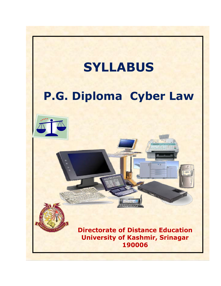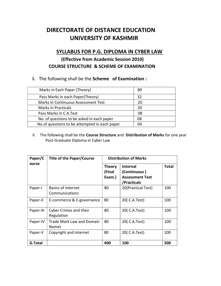# DIRECTORATE OF DISTANCE EDUCATION UNIVERSITY OF KASHMIR

## SYLLABUS FOR P.G. DIPLOMA IN CYBER LAW

## (Effective from Academic Session 2010) COURSE STRUCTURE & SCHEME OF EXAMINATION

I. The following shall be the Scheme of Examination :

| Marks in Each Paper (Theory)                   | 80 |
|------------------------------------------------|----|
| Pass Marks in each Paper(Theory)               | 32 |
| Marks in Continuous Assessment Test            | 20 |
| <b>Marks in Practicals</b>                     | 20 |
| Pass Marks in C.A.Test                         | 08 |
| No. of questions to be asked in each paper     | 08 |
| No. of questions to be attempted in each paper | 04 |

II. The following shall be the Course Structure and Distribution of Marks for one year Post-Graduate Diploma in Cyber Law

| Paper/C        | <b>Title of the Paper/Course</b>                 | <b>Distribution of Marks</b>      |                                                                          |              |
|----------------|--------------------------------------------------|-----------------------------------|--------------------------------------------------------------------------|--------------|
| ourse          |                                                  | <b>Theory</b><br>(Final<br>Exam.) | <b>Internal</b><br>(Continuous)<br><b>Assessment Test</b><br>/Practicals | <b>Total</b> |
| Paper-I        | <b>Basics of Internet</b><br>Communications      | 80                                | 20(Practical Test)                                                       | 100          |
| Paper-II       | E-commerce & E-governance                        | 80                                | 20(C.A.Test)                                                             | 100          |
| Paper-III      | <b>Cyber Crimes and their</b><br>Regulation      | 80                                | 20( C.A.Test)                                                            | 100          |
| Paper-IV       | <b>Trade Mark Law and Domain</b><br><b>Names</b> | 80                                | 20(C.A.Test)                                                             | 100          |
| Paper-V        | Copyright and Internet                           | 80                                | 20( C.A.Test)                                                            | 100          |
| <b>G.Total</b> |                                                  | 400                               | 100                                                                      | 500          |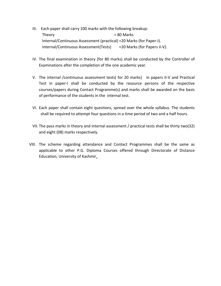- III. Each paper shall carry 100 marks with the following breakup: Theory = 80 Marks Internal/Continuous Assessment (practical) =20 Marks (for Paper-I). Internal/Continuous Assessment(Tests) =20 Marks (for Papers II-V).
- IV. The final examination in theory (for 80 marks) shall be conducted by the Controller of Examinations after the completion of the one academic year.
- V. The internal /continuous assessment tests( for 20 marks) in papers II-V and Practical Test in paper-I shall be conducted by the resource persons of the respective courses/papers during Contact Programme(s) and marks shall be awarded on the basis of performance of the students in the internal test.
- VI. Each paper shall contain eight questions, spread over the whole syllabus. The students shall be required to attempt four questions in a time period of two and a half hours.
- VII. The pass marks in theory and internal assessment / practical tests shall be thirty two(32) and eight (08) marks respectively.
- VIII. The scheme regarding attendance and Contact Programmes shall be the same as applicable to other P.G. Diploma Courses offered through Directorate of Distance Education, University of Kashmir.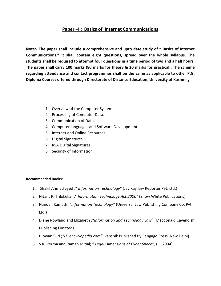## Paper –I : Basics of Internet Communications

Note:- The paper shall include a comprehensive and upto date study of " Basics of Internet Communications." It shall contain eight questions, spread over the whole syllabus. The students shall be required to attempt four questions in a time period of two and a half hours. The paper shall carry 100 marks (80 marks for theory & 20 marks for practical). The scheme regarding attendance and contact programmes shall be the same as applicable to other P.G. Diploma Courses offered through Directorate of Distance Education, University of Kashmir.

- 1. Overview of the Computer System.
- 2. Processing of Computer Data.
- 3. Communication of Data.
- 4. Computer languages and Software Development.
- 5. Internet and Online Resources.
- 6. Digital Signatures
- 7. RSA Digital Signatures
- 8. Security of Information.

- 1. Shakil Ahmad Syed ; " Information Technology" (Jay Kay law Reporter Pvt. Ltd.)
- 2. Nitant P. Trilokekar ; " Information Technology Act, 2000" (Snow White Publications)
- 3. Nandan Kamath ; "Information Technology" (Universal Law Publishing Company Co. Pvt. Ltd.)
- 4. Diane Rowland and Elizabeth; "Information and Technology Law" (Macdonald Cavendish Publishing Limitted).
- 5. Diowan Suri ; "IT. encyclopedia.com" (kanshik Published By Pengago Press, New Delhi)
- 6. S.K. Verma and Raman Mitial; " Legal Dimensions of Cyber Space", (ILI 2004)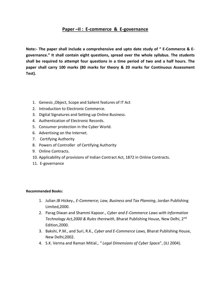## Paper –II : E-commerce & E-governance

Note:- The paper shall include a comprehensive and upto date study of " E-Commerce & Egovernance." It shall contain eight questions, spread over the whole syllabus. The students shall be required to attempt four questions in a time period of two and a half hours. The paper shall carry 100 marks (80 marks for theory & 20 marks for Continuous Assessment Test).

- 1. Genesis ,Object, Scope and Salient features of IT Act
- 2. Introduction to Electronic Commerce.
- 3. Digital Signatures and Setting up Online Business.
- 4. Authentication of Electronic Records.
- 5. Consumer protection in the Cyber World.
- 6. Advertising on the Internet.
- 7. Certifying Authority
- 8. Powers of Controller of Certifying Authority
- 9. Online Contracts.
- 10. Applicability of provisions of Indian Contract Act, 1872 in Online Contracts.
- 11. E-governance

- 1. Julian JB Hickey., E-Commerce; Law, Business and Tax Planning, Jordan Publishing Limited,2000.
- 2. Parag Diwan and Shammi Kapoor., Cyber and E-Commerce Laws with Information Technology Act, 2000 & Rules therewith, Bharat Publishing House, New Delhi, 2<sup>nd</sup> Edition,2000.
- 3. Bakshi, P.M., and Suri, R.K., Cyber and E-Commerce Laws, Bharat Publishing House, New Delhi;2002.
- 4. S.K. Verma and Raman Mitial., "Legal Dimensions of Cyber Space", (ILI 2004).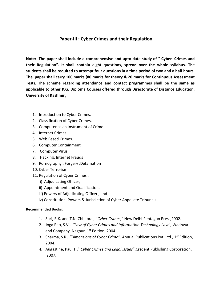## Paper-III : Cyber Crimes and their Regulation

Note:- The paper shall include a comprehensive and upto date study of " Cyber Crimes and their Regulation". It shall contain eight questions, spread over the whole syllabus. The students shall be required to attempt four questions in a time period of two and a half hours. The paper shall carry 100 marks (80 marks for theory & 20 marks for Continuous Assessment Test). The scheme regarding attendance and contact programmes shall be the same as applicable to other P.G. Diploma Courses offered through Directorate of Distance Education, University of Kashmir.

- 1. Introduction to Cyber Crimes.
- 2. Classification of Cyber Crimes.
- 3. Computer as an Instrument of Crime.
- 4. Internet Crimes.
- 5. Web Based Crimes.
- 6. Computer Containment
- 7. Computer Virus
- 8. Hacking, Internet Frauds
- 9. Pornography , Forgery ,Defamation
- 10. Cyber Terrorism
- 11. Regulation of Cyber Crimes :
	- i) Adjudicating Officer,
	- ii) Appointment and Qualification,
	- iii) Powers of Adjudicating Officer ; and
	- iv) Constitution, Powers & Jurisdiction of Cyber Appellate Tribunals.

- 1. Suri, R.K. and T.N. Chhabra., "Cyber Crimes," New Delhi Pentagon Press, 2002.
- 2. Joga Rao, S.V., "Law of Cyber Crimes and Information Technology Law", Wadhwa and Company, Nagpur,  $1<sup>st</sup>$  Edition, 2004.
- 3. Sharma, S.R., "Dimensions of Cyber Crime", Annual Publications Pvt. Ltd.,  $1^{st}$  Edition, 2004.
- 4. Augastine, Paul T.," Cyber Crimes and Legal Issues", Crecent Publishing Corporation, 2007.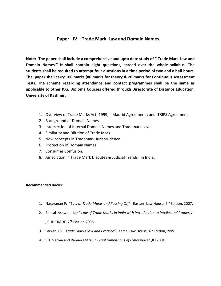#### Paper –IV : Trade Mark Law and Domain Names

Note:- The paper shall include a comprehensive and upto date study of " Trade Mark Law and Domain Names." It shall contain eight questions, spread over the whole syllabus. The students shall be required to attempt four questions in a time period of two and a half hours. The paper shall carry 100 marks (80 marks for theory & 20 marks for Continuous Assessment Test). The scheme regarding attendance and contact programmes shall be the same as applicable to other P.G. Diploma Courses offered through Directorate of Distance Education, University of Kashmir.

- 1. Overview of Trade Marks Act, 1999; Madrid Agreement ; and TRIPS Agreement
- 2. Background of Domain Names.
- 3. Intersection of Internal Domain Names and Trademark Law.
- 4. Similarity and Dilution of Trade Mark.
- 5. New concepts in Trademark Jurisprudence.
- 6. Protection of Domain Names.
- 7. Consumer Confusion.
- 8. Jurisdiction in Trade Mark Disputes & Judicial Trends in India.

- 1. Narayanan P; "Law of Trade Marks and Passing Off", Eastern Law House, 6<sup>th</sup> Edition, 2007.
- 2. Bansal Ashwani Kr; "Law of Trade Marks in India with Introduction to Intellectual Property" , CLIP TRADE, 2nd Edition,2006.
- 3. Sarkar, J.S., Trade Marks Law and Practice", Kamal Law House, 4<sup>th</sup> Edition,1999.
- 4. S.K. Verma and Raman Mittal; " Legal Dimensions of Cyberspace" ,ILI 2004.